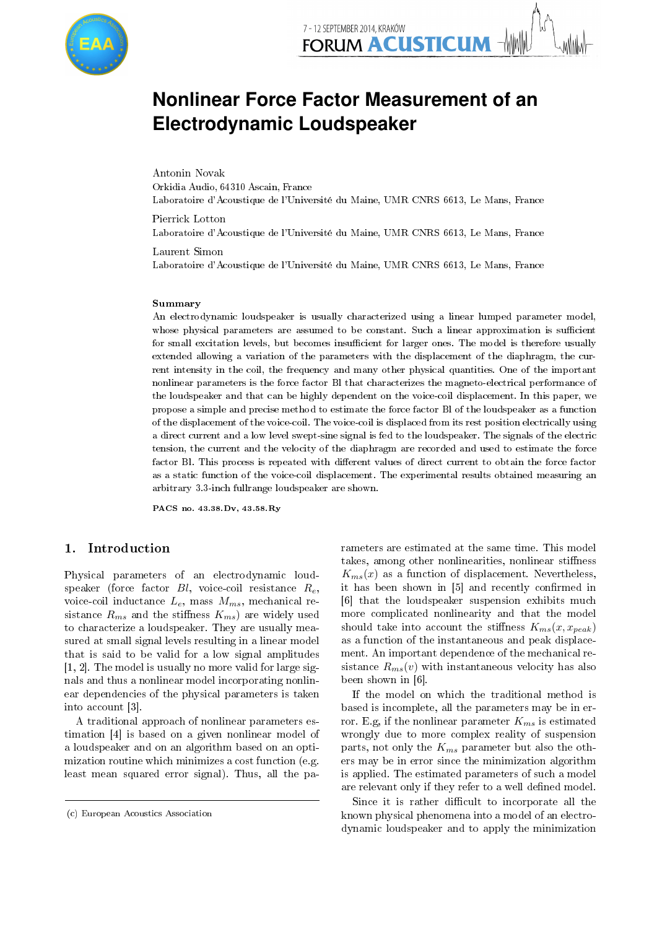

# **Nonlinear Force Factor Measurement of an Electrodynamic Loudspeaker**

Antonin Novak Orkidia Audio, 64310 Ascain, France Laboratoire d'Acoustique de l'Université du Maine, UMR CNRS 6613, Le Mans, France

Pierrick Lotton Laboratoire d'Acoustique de l'Université du Maine, UMR CNRS 6613, Le Mans, France

Laurent Simon Laboratoire d'Acoustique de l'Université du Maine, UMR CNRS 6613, Le Mans, France

#### Summary

An electrodynamic loudspeaker is usually characterized using a linear lumped parameter model, whose physical parameters are assumed to be constant. Such a linear approximation is sufficient for small excitation levels, but becomes insufficient for larger ones. The model is therefore usually extended allowing a variation of the parameters with the displacement of the diaphragm, the current intensity in the coil, the frequency and many other physical quantities. One of the important nonlinear parameters is the force factor Bl that characterizes the magneto-electrical performance of the loudspeaker and that can be highly dependent on the voice-coil displacement. In this paper, we propose a simple and precise method to estimate the force factor Bl of the loudspeaker as a function of the displacement of the voice-coil. The voice-coil is displaced from its rest position electrically using a direct current and a low level swept-sine signal is fed to the loudspeaker. The signals of the electric tension, the current and the velocity of the diaphragm are recorded and used to estimate the force factor Bl. This process is repeated with different values of direct current to obtain the force factor as a static function of the voice-coil displacement. The experimental results obtained measuring an arbitrary 3.3-inch fullrange loudspeaker are shown.

PACS no. 43.38.Dv, 43.58.Ry

## 1. Introduction

Physical parameters of an electrodynamic loudspeaker (force factor  $Bl$ , voice-coil resistance  $R_e$ , voice-coil inductance  $L_e$ , mass  $M_{ms}$ , mechanical resistance  $R_{ms}$  and the stiffness  $K_{ms}$ ) are widely used to characterize a loudspeaker. They are usually measured at small signal levels resulting in a linear model that is said to be valid for a low signal amplitudes [1, 2]. The model is usually no more valid for large signals and thus a nonlinear model incorporating nonlinear dependencies of the physical parameters is taken into account [3].

A traditional approach of nonlinear parameters estimation [4] is based on a given nonlinear model of a loudspeaker and on an algorithm based on an optimization routine which minimizes a cost function (e.g. least mean squared error signal). Thus, all the pa-

rameters are estimated at the same time. This model takes, among other nonlinearities, nonlinear stiffness  $K_{ms}(x)$  as a function of displacement. Nevertheless, it has been shown in [5] and recently confirmed in [6] that the loudspeaker suspension exhibits much more complicated nonlinearity and that the model should take into account the stiffness  $K_{ms}(x, x_{peak})$ as a function of the instantaneous and peak displacement. An important dependence of the mechanical resistance  $R_{ms}(v)$  with instantaneous velocity has also been shown in [6].

If the model on which the traditional method is based is incomplete, all the parameters may be in error. E.g, if the nonlinear parameter  $K_{ms}$  is estimated wrongly due to more complex reality of suspension parts, not only the  $K_{ms}$  parameter but also the others may be in error since the minimization algorithm is applied. The estimated parameters of such a model are relevant only if they refer to a well defined model.

Since it is rather difficult to incorporate all the known physical phenomena into a model of an electrodynamic loudspeaker and to apply the minimization

<sup>(</sup>c) European Acoustics Association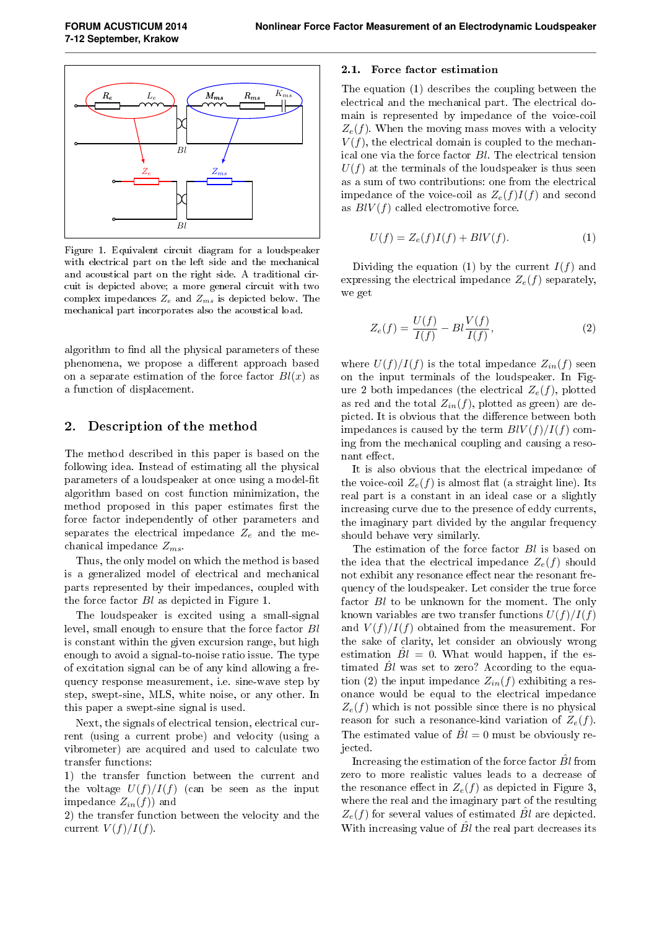

Figure 1. Equivalent circuit diagram for a loudspeaker with electrical part on the left side and the mechanical and acoustical part on the right side. A traditional circuit is depicted above; a more general circuit with two complex impedances  $Z_e$  and  $Z_{ms}$  is depicted below. The mechanical part incorporates also the acoustical load.

algorithm to find all the physical parameters of these phenomena, we propose a different approach based on a separate estimation of the force factor  $Bl(x)$  as a function of displacement.

#### 2. Description of the method

The method described in this paper is based on the following idea. Instead of estimating all the physical parameters of a loudspeaker at once using a model-fit algorithm based on cost function minimization, the method proposed in this paper estimates first the force factor independently of other parameters and separates the electrical impedance  $Z_e$  and the mechanical impedance  $Z_{ms}$ .

Thus, the only model on which the method is based is a generalized model of electrical and mechanical parts represented by their impedances, coupled with the force factor Bl as depicted in Figure 1.

The loudspeaker is excited using a small-signal level, small enough to ensure that the force factor Bl is constant within the given excursion range, but high enough to avoid a signal-to-noise ratio issue. The type of excitation signal can be of any kind allowing a frequency response measurement, i.e. sine-wave step by step, swept-sine, MLS, white noise, or any other. In this paper a swept-sine signal is used.

Next, the signals of electrical tension, electrical current (using a current probe) and velocity (using a vibrometer) are acquired and used to calculate two transfer functions:

1) the transfer function between the current and the voltage  $U(f)/I(f)$  (can be seen as the input impedance  $Z_{in}(f)$  and

2) the transfer function between the velocity and the current  $V(f)/I(f)$ .

#### 2.1. Force factor estimation

The equation (1) describes the coupling between the electrical and the mechanical part. The electrical domain is represented by impedance of the voice-coil  $Z_e(f)$ . When the moving mass moves with a velocity  $V(f)$ , the electrical domain is coupled to the mechanical one via the force factor Bl. The electrical tension  $U(f)$  at the terminals of the loudspeaker is thus seen as a sum of two contributions: one from the electrical impedance of the voice-coil as  $Z_e(f)I(f)$  and second as  $BlV(f)$  called electromotive force.

$$
U(f) = Z_e(f)I(f) + BIV(f). \tag{1}
$$

Dividing the equation (1) by the current  $I(f)$  and expressing the electrical impedance  $Z_e(f)$  separately, we get

$$
Z_e(f) = \frac{U(f)}{I(f)} - Bl\frac{V(f)}{I(f)},\tag{2}
$$

where  $U(f)/I(f)$  is the total impedance  $Z_{in}(f)$  seen on the input terminals of the loudspeaker. In Figure 2 both impedances (the electrical  $Z_e(f)$ , plotted as red and the total  $Z_{in}(f)$ , plotted as green) are depicted. It is obvious that the difference between both impedances is caused by the term  $B\{V(f)/I(f)\}$  coming from the mechanical coupling and causing a resonant effect.

It is also obvious that the electrical impedance of the voice-coil  $Z_e(f)$  is almost flat (a straight line). Its real part is a constant in an ideal case or a slightly increasing curve due to the presence of eddy currents, the imaginary part divided by the angular frequency should behave very similarly.

The estimation of the force factor Bl is based on the idea that the electrical impedance  $Z_e(f)$  should not exhibit any resonance effect near the resonant frequency of the loudspeaker. Let consider the true force factor  $Bl$  to be unknown for the moment. The only known variables are two transfer functions  $U(f)/I(f)$ and  $V(f)/I(f)$  obtained from the measurement. For the sake of clarity, let consider an obviously wrong estimation  $\hat{B}l = 0$ . What would happen, if the estimated  $Bl$  was set to zero? According to the equation (2) the input impedance  $Z_{in}(f)$  exhibiting a resonance would be equal to the electrical impedance  $Z_e(f)$  which is not possible since there is no physical reason for such a resonance-kind variation of  $Z_e(f)$ . The estimated value of  $\hat{B}l = 0$  must be obviously rejected.

Increasing the estimation of the force factor  $B<sub>l</sub>$  from zero to more realistic values leads to a decrease of the resonance effect in  $Z_e(f)$  as depicted in Figure 3, where the real and the imaginary part of the resulting  $Z_e(f)$  for several values of estimated  $\hat{B}l$  are depicted. With increasing value of  $\hat{B}l$  the real part decreases its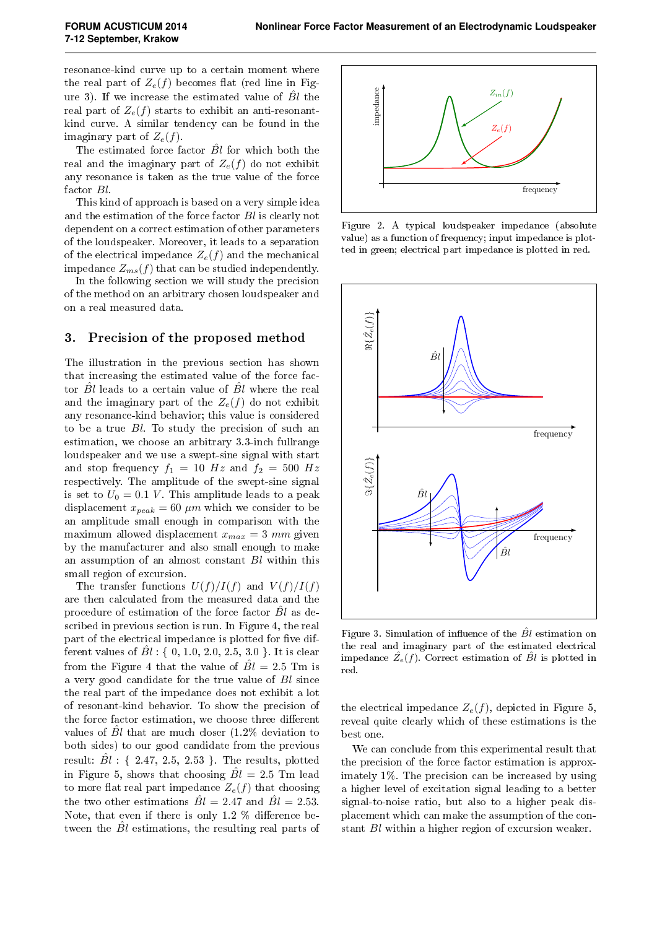resonance-kind curve up to a certain moment where the real part of  $Z_e(f)$  becomes flat (red line in Figure 3). If we increase the estimated value of  $B<sub>l</sub>$  the real part of  $Z_e(f)$  starts to exhibit an anti-resonantkind curve. A similar tendency can be found in the imaginary part of  $Z_e(f)$ .

The estimated force factor  $\hat{B}l$  for which both the real and the imaginary part of  $Z_e(f)$  do not exhibit any resonance is taken as the true value of the force factor Bl.

This kind of approach is based on a very simple idea and the estimation of the force factor Bl is clearly not dependent on a correct estimation of other parameters of the loudspeaker. Moreover, it leads to a separation of the electrical impedance  $Z_e(f)$  and the mechanical impedance  $Z_{ms}(f)$  that can be studied independently.

In the following section we will study the precision of the method on an arbitrary chosen loudspeaker and on a real measured data.

### 3. Precision of the proposed method

The illustration in the previous section has shown that increasing the estimated value of the force factor  $Bl$  leads to a certain value of  $Bl$  where the real and the imaginary part of the  $Z_e(f)$  do not exhibit any resonance-kind behavior; this value is considered to be a true Bl. To study the precision of such an estimation, we choose an arbitrary 3.3-inch fullrange loudspeaker and we use a swept-sine signal with start and stop frequency  $f_1 = 10$  Hz and  $f_2 = 500$  Hz respectively. The amplitude of the swept-sine signal is set to  $U_0 = 0.1$  V. This amplitude leads to a peak displacement  $x_{peak} = 60 \ \mu m$  which we consider to be an amplitude small enough in comparison with the maximum allowed displacement  $x_{max} = 3$  mm given by the manufacturer and also small enough to make an assumption of an almost constant Bl within this small region of excursion.

The transfer functions  $U(f)/I(f)$  and  $V(f)/I(f)$ are then calculated from the measured data and the procedure of estimation of the force factor  $B_l$  as described in previous section is run. In Figure 4, the real part of the electrical impedance is plotted for five different values of  $Bl: \{ 0, 1.0, 2.0, 2.5, 3.0 \}$ . It is clear from the Figure 4 that the value of  $\hat{Bl} = 2.5$  Tm is a very good candidate for the true value of Bl since the real part of the impedance does not exhibit a lot of resonant-kind behavior. To show the precision of the force factor estimation, we choose three different values of  $\hat{B}l$  that are much closer (1.2% deviation to both sides) to our good candidate from the previous result:  $\hat{B}l$  : { 2.47, 2.5, 2.53 }. The results, plotted in Figure 5, shows that choosing  $\hat{Bl} = 2.5$  Tm lead to more flat real part impedance  $Z_e(f)$  that choosing the two other estimations  $\hat{B}l = 2.47$  and  $\hat{B}l = 2.53$ . Note, that even if there is only 1.2  $\%$  difference between the  $\hat{B}l$  estimations, the resulting real parts of



Figure 2. A typical loudspeaker impedance (absolute value) as a function of frequency; input impedance is plotted in green; electrical part impedance is plotted in red.



Figure 3. Simulation of influence of the  $\hat{B}l$  estimation on the real and imaginary part of the estimated electrical impedance  $\hat{Z}_e(f)$ . Correct estimation of  $\hat{B}l$  is plotted in red.

the electrical impedance  $Z_e(f)$ , depicted in Figure 5, reveal quite clearly which of these estimations is the best one.

We can conclude from this experimental result that the precision of the force factor estimation is approximately 1%. The precision can be increased by using a higher level of excitation signal leading to a better signal-to-noise ratio, but also to a higher peak displacement which can make the assumption of the constant Bl within a higher region of excursion weaker.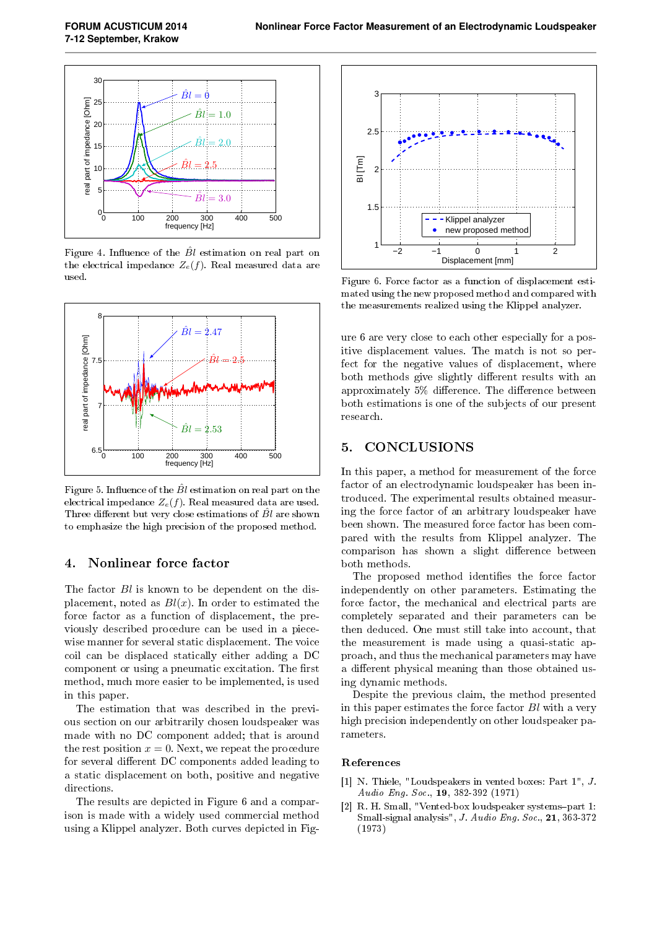

Figure 4. Influence of the  $\ddot{B}l$  estimation on real part on the electrical impedance  $Z_e(f)$ . Real measured data are used.



Figure 5. Influence of the  $\hat{B}l$  estimation on real part on the electrical impedance  $Z_e(f)$ . Real measured data are used. Three different but very close estimations of  $\hat{B}l$  are shown to emphasize the high precision of the proposed method.

## 4. Nonlinear force factor

The factor  $Bl$  is known to be dependent on the displacement, noted as  $Bl(x)$ . In order to estimated the force factor as a function of displacement, the previously described procedure can be used in a piecewise manner for several static displacement. The voice coil can be displaced statically either adding a DC component or using a pneumatic excitation. The first method, much more easier to be implemented, is used in this paper.

The estimation that was described in the previous section on our arbitrarily chosen loudspeaker was made with no DC component added; that is around the rest position  $x = 0$ . Next, we repeat the procedure for several different DC components added leading to a static displacement on both, positive and negative directions.

The results are depicted in Figure 6 and a comparison is made with a widely used commercial method using a Klippel analyzer. Both curves depicted in Fig-



Figure 6. Force factor as a function of displacement estimated using the new proposed method and compared with the measurements realized using the Klippel analyzer.

ure 6 are very close to each other especially for a positive displacement values. The match is not so perfect for the negative values of displacement, where both methods give slightly different results with an approximately  $5\%$  difference. The difference between both estimations is one of the subjects of our present research.

## 5. CONCLUSIONS

In this paper, a method for measurement of the force factor of an electrodynamic loudspeaker has been introduced. The experimental results obtained measuring the force factor of an arbitrary loudspeaker have been shown. The measured force factor has been compared with the results from Klippel analyzer. The comparison has shown a slight difference between both methods.

The proposed method identifies the force factor independently on other parameters. Estimating the force factor, the mechanical and electrical parts are completely separated and their parameters can be then deduced. One must still take into account, that the measurement is made using a quasi-static approach, and thus the mechanical parameters may have a different physical meaning than those obtained using dynamic methods.

Despite the previous claim, the method presented in this paper estimates the force factor Bl with a very high precision independently on other loudspeaker parameters.

#### References

- [1] N. Thiele, "Loudspeakers in vented boxes: Part 1", J. Audio Eng. Soc., 19, 382-392 (1971)
- [2] R. H. Small, "Vented-box loudspeaker systems-part 1: Small-signal analysis", J. Audio Eng. Soc.,  $21, 363-372$ (1973)